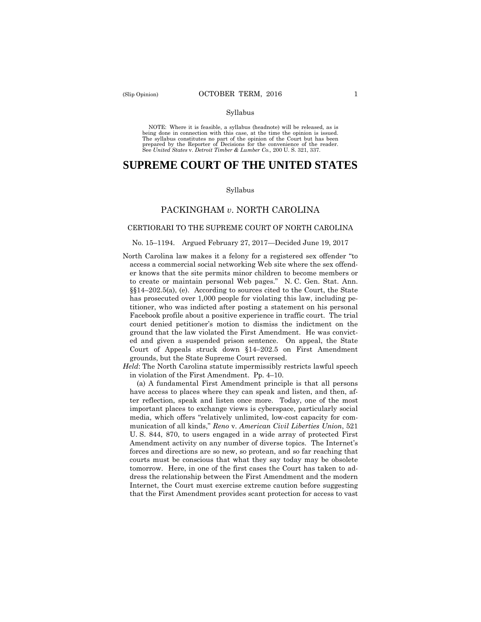#### Syllabus

 NOTE: Where it is feasible, a syllabus (headnote) will be released, as is being done in connection with this case, at the time the opinion is issued. The syllabus constitutes no part of the opinion of the Court but has been<br>prepared by the Reporter of Decisions for the convenience of the reader.<br>See United States v. Detroit Timber & Lumber Co., 200 U. S. 321, 337.

# **SUPREME COURT OF THE UNITED STATES**

#### Syllabus

## PACKINGHAM *v*. NORTH CAROLINA

#### CERTIORARI TO THE SUPREME COURT OF NORTH CAROLINA

#### No. 15–1194. Argued February 27, 2017—Decided June 19, 2017

North Carolina law makes it a felony for a registered sex offender "to access a commercial social networking Web site where the sex offender knows that the site permits minor children to become members or to create or maintain personal Web pages." N. C. Gen. Stat. Ann. §§14–202.5(a), (e). According to sources cited to the Court, the State has prosecuted over 1,000 people for violating this law, including petitioner, who was indicted after posting a statement on his personal Facebook profile about a positive experience in traffic court. The trial court denied petitioner's motion to dismiss the indictment on the ground that the law violated the First Amendment. He was convicted and given a suspended prison sentence. On appeal, the State Court of Appeals struck down §14–202.5 on First Amendment grounds, but the State Supreme Court reversed.

*Held*: The North Carolina statute impermissibly restricts lawful speech in violation of the First Amendment. Pp. 4–10.

(a) A fundamental First Amendment principle is that all persons have access to places where they can speak and listen, and then, after reflection, speak and listen once more. Today, one of the most important places to exchange views is cyberspace, particularly social media, which offers "relatively unlimited, low-cost capacity for communication of all kinds," *Reno* v. *American Civil Liberties Union*, 521 U. S. 844, 870, to users engaged in a wide array of protected First Amendment activity on any number of diverse topics. The Internet's forces and directions are so new, so protean, and so far reaching that courts must be conscious that what they say today may be obsolete tomorrow. Here, in one of the first cases the Court has taken to address the relationship between the First Amendment and the modern Internet, the Court must exercise extreme caution before suggesting that the First Amendment provides scant protection for access to vast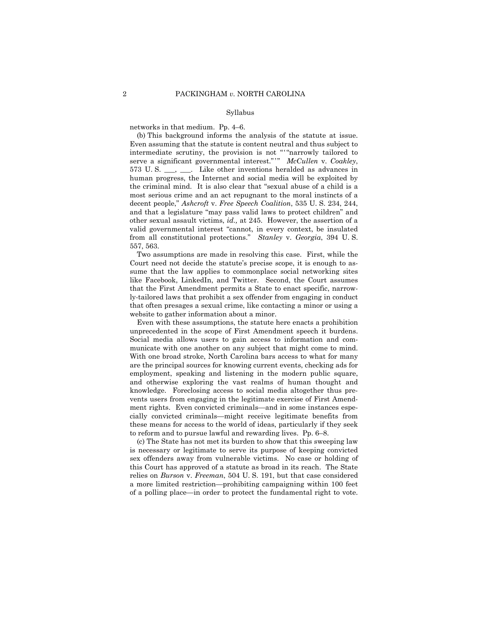#### Syllabus

networks in that medium. Pp. 4–6.

intermediate scrutiny, the provision is not ""narrowly tailored to serve a significant governmental interest."" McCullen v. Coakley, (b) This background informs the analysis of the statute at issue. Even assuming that the statute is content neutral and thus subject to 573 U. S. \_\_\_, \_\_\_. Like other inventions heralded as advances in human progress, the Internet and social media will be exploited by the criminal mind. It is also clear that "sexual abuse of a child is a most serious crime and an act repugnant to the moral instincts of a decent people," *Ashcroft* v. *Free Speech Coalition*, 535 U. S. 234, 244, and that a legislature "may pass valid laws to protect children" and other sexual assault victims, *id.,* at 245. However, the assertion of a valid governmental interest "cannot, in every context, be insulated from all constitutional protections." *Stanley* v. *Georgia*, 394 U. S. 557, 563.

 that often presages a sexual crime, like contacting a minor or using a website to gather information about a minor. Two assumptions are made in resolving this case. First, while the Court need not decide the statute's precise scope, it is enough to assume that the law applies to commonplace social networking sites like Facebook, LinkedIn, and Twitter. Second, the Court assumes that the First Amendment permits a State to enact specific, narrowly-tailored laws that prohibit a sex offender from engaging in conduct

Even with these assumptions, the statute here enacts a prohibition unprecedented in the scope of First Amendment speech it burdens. Social media allows users to gain access to information and communicate with one another on any subject that might come to mind. With one broad stroke, North Carolina bars access to what for many are the principal sources for knowing current events, checking ads for employment, speaking and listening in the modern public square, and otherwise exploring the vast realms of human thought and knowledge. Foreclosing access to social media altogether thus prevents users from engaging in the legitimate exercise of First Amendment rights. Even convicted criminals—and in some instances especially convicted criminals—might receive legitimate benefits from these means for access to the world of ideas, particularly if they seek to reform and to pursue lawful and rewarding lives. Pp. 6–8.

(c) The State has not met its burden to show that this sweeping law is necessary or legitimate to serve its purpose of keeping convicted sex offenders away from vulnerable victims. No case or holding of this Court has approved of a statute as broad in its reach. The State relies on *Burson* v. *Freeman*, 504 U. S. 191, but that case considered a more limited restriction—prohibiting campaigning within 100 feet of a polling place—in order to protect the fundamental right to vote.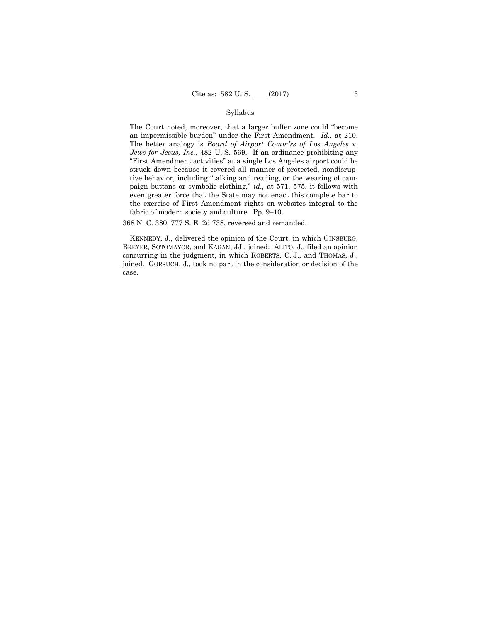### Syllabus

The Court noted, moreover, that a larger buffer zone could "become an impermissible burden" under the First Amendment. *Id.,* at 210. The better analogy is *Board of Airport Comm'rs of Los Angeles* v. *Jews for Jesus, Inc.*, 482 U. S. 569. If an ordinance prohibiting any "First Amendment activities" at a single Los Angeles airport could be struck down because it covered all manner of protected, nondisruptive behavior, including "talking and reading, or the wearing of campaign buttons or symbolic clothing," *id.,* at 571, 575, it follows with even greater force that the State may not enact this complete bar to the exercise of First Amendment rights on websites integral to the fabric of modern society and culture. Pp. 9–10.

368 N. C. 380, 777 S. E. 2d 738, reversed and remanded.

KENNEDY, J., delivered the opinion of the Court, in which GINSBURG, BREYER, SOTOMAYOR, and KAGAN, JJ., joined. ALITO, J., filed an opinion concurring in the judgment, in which ROBERTS, C. J., and THOMAS, J., joined. GORSUCH, J., took no part in the consideration or decision of the case.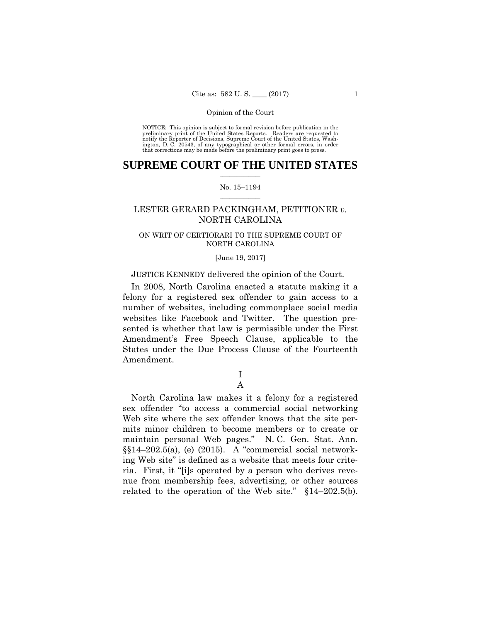preliminary print of the United States Reports. Readers are requested to notify the Reporter of Decisions, Supreme Court of the United States, Wash- ington, D. C. 20543, of any typographical or other formal errors, in order that corrections may be made before the preliminary print goes to press. NOTICE: This opinion is subject to formal revision before publication in the

## $\frac{1}{2}$  ,  $\frac{1}{2}$  ,  $\frac{1}{2}$  ,  $\frac{1}{2}$  ,  $\frac{1}{2}$  ,  $\frac{1}{2}$  ,  $\frac{1}{2}$ **SUPREME COURT OF THE UNITED STATES**

#### $\frac{1}{2}$  ,  $\frac{1}{2}$  ,  $\frac{1}{2}$  ,  $\frac{1}{2}$  ,  $\frac{1}{2}$  ,  $\frac{1}{2}$ No. 15–1194

## LESTER GERARD PACKINGHAM, PETITIONER *v.* NORTH CAROLINA

## ON WRIT OF CERTIORARI TO THE SUPREME COURT OF NORTH CAROLINA

#### [June 19, 2017]

## JUSTICE KENNEDY delivered the opinion of the Court.

In 2008, North Carolina enacted a statute making it a felony for a registered sex offender to gain access to a number of websites, including commonplace social media websites like Facebook and Twitter. The question presented is whether that law is permissible under the First Amendment's Free Speech Clause, applicable to the States under the Due Process Clause of the Fourteenth Amendment.

## I A

North Carolina law makes it a felony for a registered sex offender "to access a commercial social networking Web site where the sex offender knows that the site permits minor children to become members or to create or maintain personal Web pages." N. C. Gen. Stat. Ann.  $\S$ [14–202.5(a), (e) (2015). A "commercial social networking Web site" is defined as a website that meets four criteria. First, it "[i]s operated by a person who derives revenue from membership fees, advertising, or other sources related to the operation of the Web site." §14–202.5(b).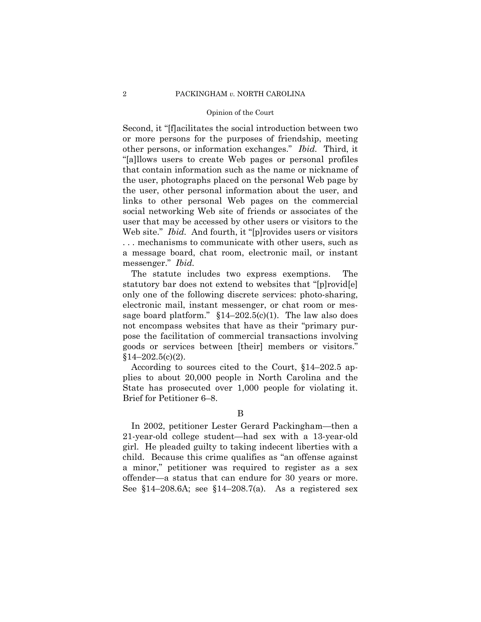Second, it "[f]acilitates the social introduction between two or more persons for the purposes of friendship, meeting other persons, or information exchanges." *Ibid.* Third, it "[a]llows users to create Web pages or personal profiles that contain information such as the name or nickname of the user, photographs placed on the personal Web page by the user, other personal information about the user, and links to other personal Web pages on the commercial social networking Web site of friends or associates of the user that may be accessed by other users or visitors to the Web site." *Ibid.* And fourth, it "[p] rovides users or visitors . . . mechanisms to communicate with other users, such as a message board, chat room, electronic mail, or instant messenger." *Ibid.* 

The statute includes two express exemptions. The statutory bar does not extend to websites that "[p]rovid[e] only one of the following discrete services: photo-sharing, electronic mail, instant messenger, or chat room or message board platform."  $$14-202.5(c)(1)$ . The law also does not encompass websites that have as their "primary purpose the facilitation of commercial transactions involving goods or services between [their] members or visitors."  $§14–202.5(c)(2)$ .

According to sources cited to the Court, §14–202.5 applies to about 20,000 people in North Carolina and the State has prosecuted over 1,000 people for violating it. Brief for Petitioner 6–8.

B

In 2002, petitioner Lester Gerard Packingham—then a 21-year-old college student—had sex with a 13-year-old girl. He pleaded guilty to taking indecent liberties with a child. Because this crime qualifies as "an offense against a minor," petitioner was required to register as a sex offender—a status that can endure for 30 years or more. See  $$14-208.6$ A; see  $$14-208.7$ (a). As a registered sex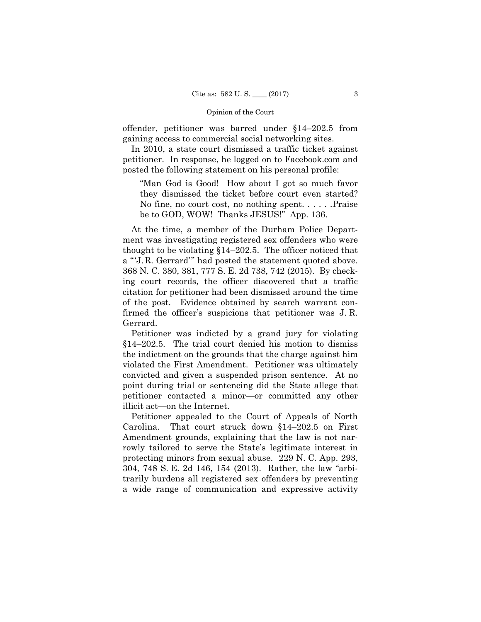offender, petitioner was barred under §14–202.5 from gaining access to commercial social networking sites.

In 2010, a state court dismissed a traffic ticket against petitioner. In response, he logged on to Facebook.com and posted the following statement on his personal profile:

"Man God is Good! How about I got so much favor they dismissed the ticket before court even started? No fine, no court cost, no nothing spent.  $\dots$ . Praise be to GOD, WOW! Thanks JESUS!" App. 136.

 a "'J.R. Gerrard'" had posted the statement quoted above. firmed the officer's suspicions that petitioner was J. R. At the time, a member of the Durham Police Department was investigating registered sex offenders who were thought to be violating §14–202.5. The officer noticed that 368 N. C. 380, 381, 777 S. E. 2d 738, 742 (2015). By checking court records, the officer discovered that a traffic citation for petitioner had been dismissed around the time of the post. Evidence obtained by search warrant con-Gerrard.

Petitioner was indicted by a grand jury for violating §14–202.5. The trial court denied his motion to dismiss the indictment on the grounds that the charge against him violated the First Amendment. Petitioner was ultimately convicted and given a suspended prison sentence. At no point during trial or sentencing did the State allege that petitioner contacted a minor—or committed any other illicit act—on the Internet.

Petitioner appealed to the Court of Appeals of North Carolina. That court struck down §14–202.5 on First Amendment grounds, explaining that the law is not narrowly tailored to serve the State's legitimate interest in protecting minors from sexual abuse. 229 N. C. App. 293, 304, 748 S. E. 2d 146, 154 (2013). Rather, the law "arbitrarily burdens all registered sex offenders by preventing a wide range of communication and expressive activity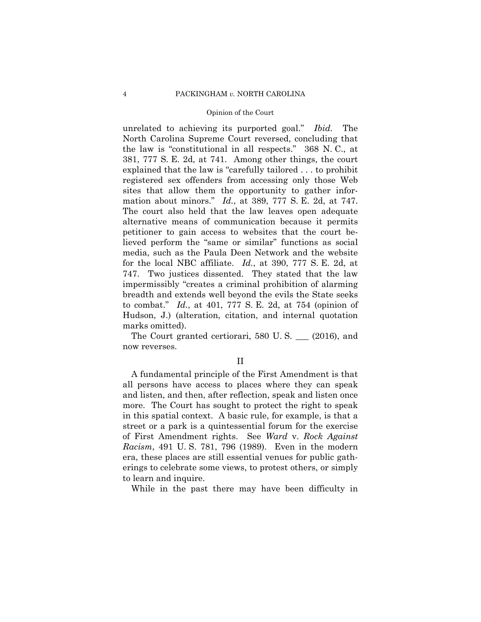unrelated to achieving its purported goal." *Ibid.* The North Carolina Supreme Court reversed, concluding that the law is "constitutional in all respects." 368 N. C., at 381, 777 S. E. 2d, at 741. Among other things, the court explained that the law is "carefully tailored . . . to prohibit registered sex offenders from accessing only those Web sites that allow them the opportunity to gather information about minors." *Id.*, at 389, 777 S. E. 2d, at 747. The court also held that the law leaves open adequate alternative means of communication because it permits petitioner to gain access to websites that the court believed perform the "same or similar" functions as social media, such as the Paula Deen Network and the website for the local NBC affiliate. *Id.*, at 390, 777 S. E. 2d, at 747. Two justices dissented. They stated that the law impermissibly "creates a criminal prohibition of alarming breadth and extends well beyond the evils the State seeks to combat." *Id.*, at 401, 777 S. E. 2d, at 754 (opinion of Hudson, J.) (alteration, citation, and internal quotation marks omitted).

The Court granted certiorari, 580 U.S. \_\_ (2016), and now reverses.

II

 *Racism*, 491 U. S. 781, 796 (1989). Even in the modern A fundamental principle of the First Amendment is that all persons have access to places where they can speak and listen, and then, after reflection, speak and listen once more. The Court has sought to protect the right to speak in this spatial context. A basic rule, for example, is that a street or a park is a quintessential forum for the exercise of First Amendment rights. See *Ward* v. *Rock Against*  era, these places are still essential venues for public gatherings to celebrate some views, to protest others, or simply to learn and inquire.

While in the past there may have been difficulty in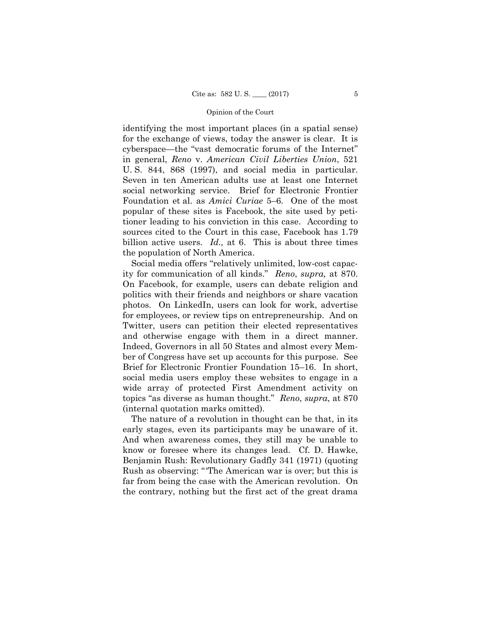identifying the most important places (in a spatial sense) for the exchange of views, today the answer is clear. It is cyberspace—the "vast democratic forums of the Internet" in general, *Reno* v. *American Civil Liberties Union*, 521 U. S. 844, 868 (1997), and social media in particular. Seven in ten American adults use at least one Internet social networking service. Brief for Electronic Frontier Foundation et al. as *Amici Curiae* 5–6. One of the most popular of these sites is Facebook, the site used by petitioner leading to his conviction in this case. According to sources cited to the Court in this case, Facebook has 1.79 billion active users. *Id.,* at 6. This is about three times the population of North America.

Social media offers "relatively unlimited, low-cost capacity for communication of all kinds." *Reno*, *supra,* at 870. On Facebook, for example, users can debate religion and politics with their friends and neighbors or share vacation photos. On LinkedIn, users can look for work, advertise for employees, or review tips on entrepreneurship. And on Twitter, users can petition their elected representatives and otherwise engage with them in a direct manner. Indeed, Governors in all 50 States and almost every Member of Congress have set up accounts for this purpose. See Brief for Electronic Frontier Foundation 15–16. In short, social media users employ these websites to engage in a wide array of protected First Amendment activity on topics "as diverse as human thought." *Reno*, *supra*, at 870 (internal quotation marks omitted).

The nature of a revolution in thought can be that, in its early stages, even its participants may be unaware of it. And when awareness comes, they still may be unable to know or foresee where its changes lead. Cf. D. Hawke, Benjamin Rush: Revolutionary Gadfly 341 (1971) (quoting Rush as observing: "'The American war is over; but this is far from being the case with the American revolution. On the contrary, nothing but the first act of the great drama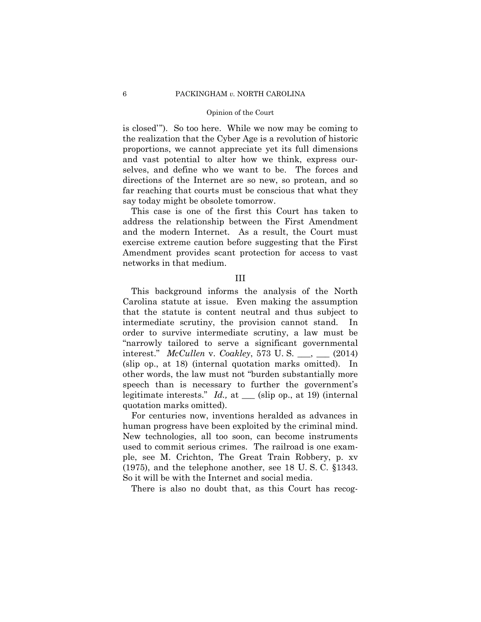is closed'"). So too here. While we now may be coming to the realization that the Cyber Age is a revolution of historic proportions, we cannot appreciate yet its full dimensions and vast potential to alter how we think, express ourselves, and define who we want to be. The forces and directions of the Internet are so new, so protean, and so far reaching that courts must be conscious that what they say today might be obsolete tomorrow.

This case is one of the first this Court has taken to address the relationship between the First Amendment and the modern Internet. As a result, the Court must exercise extreme caution before suggesting that the First Amendment provides scant protection for access to vast networks in that medium.

## III

This background informs the analysis of the North Carolina statute at issue. Even making the assumption that the statute is content neutral and thus subject to intermediate scrutiny, the provision cannot stand. In order to survive intermediate scrutiny, a law must be "narrowly tailored to serve a significant governmental interest." *McCullen* v. *Coakley*, 573 U. S. \_\_\_, \_\_\_ (2014) (slip op., at 18) (internal quotation marks omitted). In other words, the law must not "burden substantially more speech than is necessary to further the government's legitimate interests." *Id.,* at \_\_\_ (slip op., at 19) (internal quotation marks omitted).

For centuries now, inventions heralded as advances in human progress have been exploited by the criminal mind. New technologies, all too soon, can become instruments used to commit serious crimes. The railroad is one example, see M. Crichton, The Great Train Robbery, p. xv (1975), and the telephone another, see 18 U. S. C. §1343. So it will be with the Internet and social media.

There is also no doubt that, as this Court has recog-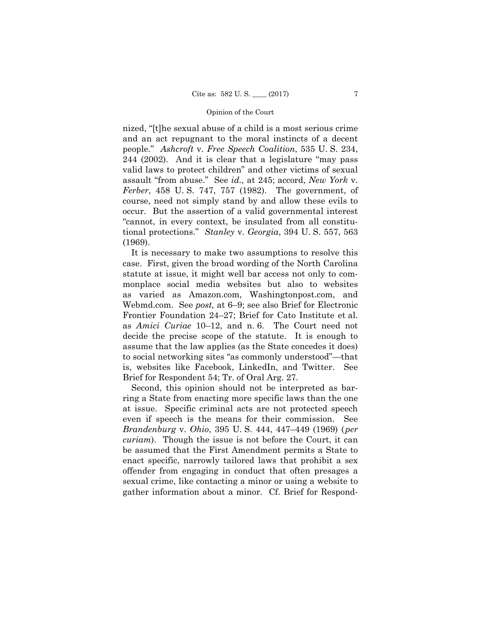*Ferber*, 458 U. S. 747, 757 (1982). The government, of nized, "[t]he sexual abuse of a child is a most serious crime and an act repugnant to the moral instincts of a decent people." *Ashcroft* v. *Free Speech Coalition*, 535 U. S. 234, 244 (2002). And it is clear that a legislature "may pass valid laws to protect children" and other victims of sexual assault "from abuse." See *id.,* at 245; accord, *New York* v. course, need not simply stand by and allow these evils to occur. But the assertion of a valid governmental interest "cannot, in every context, be insulated from all constitutional protections." *Stanley* v. *Georgia*, 394 U. S. 557, 563 (1969).

It is necessary to make two assumptions to resolve this case. First, given the broad wording of the North Carolina statute at issue, it might well bar access not only to commonplace social media websites but also to websites as varied as Amazon.com, Washingtonpost.com, and Webmd.com. See *post,* at 6–9; see also Brief for Electronic Frontier Foundation 24–27; Brief for Cato Institute et al. as *Amici Curiae* 10–12, and n. 6. The Court need not decide the precise scope of the statute. It is enough to assume that the law applies (as the State concedes it does) to social networking sites "as commonly understood"—that is, websites like Facebook, LinkedIn, and Twitter. See Brief for Respondent 54; Tr. of Oral Arg. 27.

Second, this opinion should not be interpreted as barring a State from enacting more specific laws than the one at issue. Specific criminal acts are not protected speech even if speech is the means for their commission. See *Brandenburg* v. *Ohio*, 395 U. S. 444, 447–449 (1969) (*per curiam*). Though the issue is not before the Court, it can be assumed that the First Amendment permits a State to enact specific, narrowly tailored laws that prohibit a sex offender from engaging in conduct that often presages a sexual crime, like contacting a minor or using a website to gather information about a minor. Cf. Brief for Respond-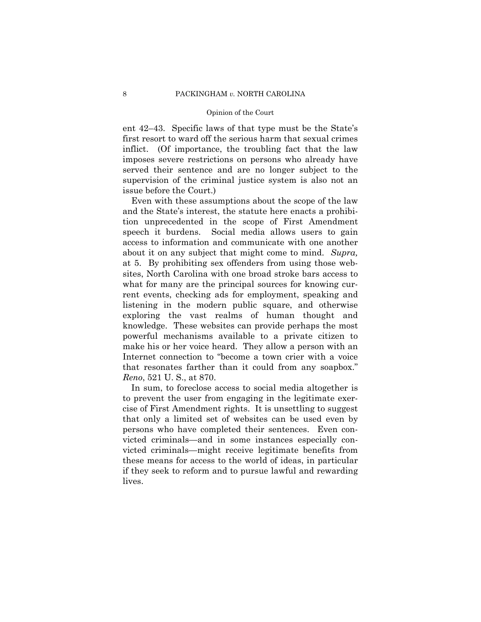ent 42–43. Specific laws of that type must be the State's first resort to ward off the serious harm that sexual crimes inflict. (Of importance, the troubling fact that the law imposes severe restrictions on persons who already have served their sentence and are no longer subject to the supervision of the criminal justice system is also not an issue before the Court.)

Even with these assumptions about the scope of the law and the State's interest, the statute here enacts a prohibition unprecedented in the scope of First Amendment speech it burdens. Social media allows users to gain access to information and communicate with one another about it on any subject that might come to mind. *Supra,*  at 5. By prohibiting sex offenders from using those websites, North Carolina with one broad stroke bars access to what for many are the principal sources for knowing current events, checking ads for employment, speaking and listening in the modern public square, and otherwise exploring the vast realms of human thought and knowledge. These websites can provide perhaps the most powerful mechanisms available to a private citizen to make his or her voice heard. They allow a person with an Internet connection to "become a town crier with a voice that resonates farther than it could from any soapbox." *Reno*, 521 U. S., at 870.

In sum, to foreclose access to social media altogether is to prevent the user from engaging in the legitimate exercise of First Amendment rights. It is unsettling to suggest that only a limited set of websites can be used even by persons who have completed their sentences. Even convicted criminals—and in some instances especially convicted criminals—might receive legitimate benefits from these means for access to the world of ideas, in particular if they seek to reform and to pursue lawful and rewarding lives.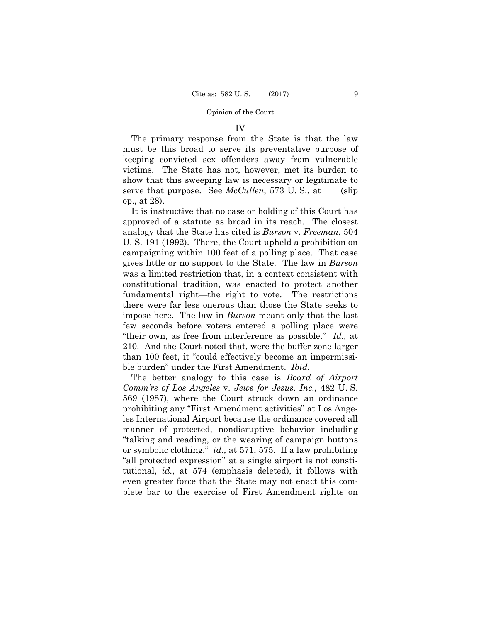IV

The primary response from the State is that the law must be this broad to serve its preventative purpose of keeping convicted sex offenders away from vulnerable victims. The State has not, however, met its burden to show that this sweeping law is necessary or legitimate to serve that purpose. See *McCullen*, 573 U. S., at \_\_\_ (slip op., at 28).

It is instructive that no case or holding of this Court has approved of a statute as broad in its reach. The closest analogy that the State has cited is *Burson* v. *Freeman*, 504 U. S. 191 (1992). There, the Court upheld a prohibition on campaigning within 100 feet of a polling place. That case gives little or no support to the State. The law in *Burson*  was a limited restriction that, in a context consistent with constitutional tradition, was enacted to protect another fundamental right—the right to vote. The restrictions there were far less onerous than those the State seeks to impose here. The law in *Burson* meant only that the last few seconds before voters entered a polling place were "their own, as free from interference as possible." *Id.,* at 210. And the Court noted that, were the buffer zone larger than 100 feet, it "could effectively become an impermissible burden" under the First Amendment. *Ibid.* 

The better analogy to this case is *Board of Airport Comm'rs of Los Angeles* v. *Jews for Jesus, Inc.*, 482 U. S. 569 (1987), where the Court struck down an ordinance prohibiting any "First Amendment activities" at Los Angeles International Airport because the ordinance covered all manner of protected, nondisruptive behavior including "talking and reading, or the wearing of campaign buttons or symbolic clothing," *id.,* at 571, 575. If a law prohibiting "all protected expression" at a single airport is not constitutional, *id.*, at 574 (emphasis deleted), it follows with even greater force that the State may not enact this complete bar to the exercise of First Amendment rights on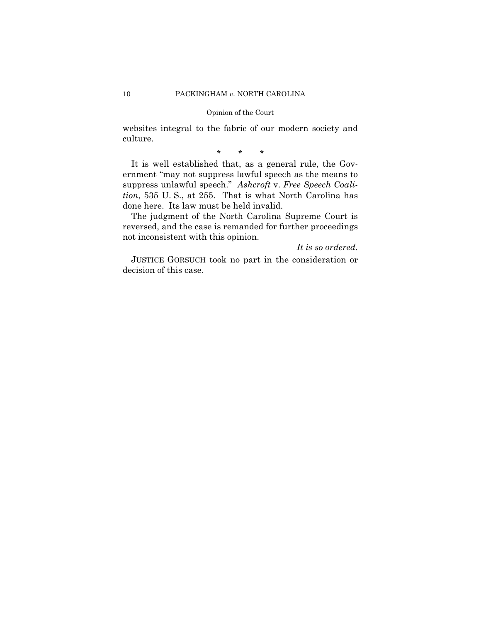websites integral to the fabric of our modern society and culture.

\* \* \*

It is well established that, as a general rule, the Government "may not suppress lawful speech as the means to suppress unlawful speech." *Ashcroft* v. *Free Speech Coalition*, 535 U. S., at 255. That is what North Carolina has done here. Its law must be held invalid.

The judgment of the North Carolina Supreme Court is reversed, and the case is remanded for further proceedings not inconsistent with this opinion.

*It is so ordered.*

 JUSTICE GORSUCH took no part in the consideration or decision of this case.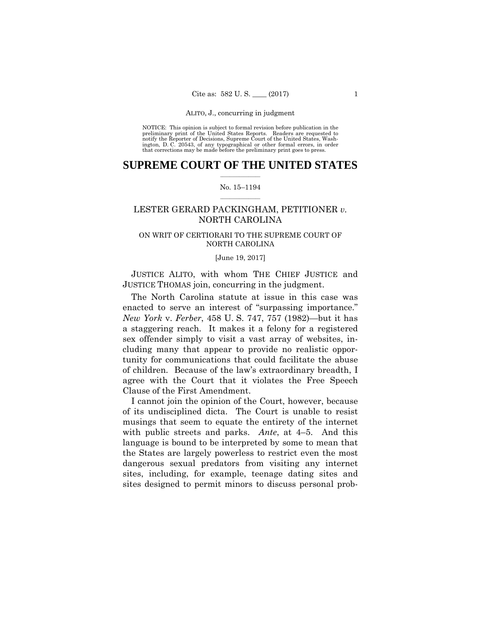preliminary print of the United States Reports. Readers are requested to notify the Reporter of Decisions, Supreme Court of the United States, Wash- ington, D. C. 20543, of any typographical or other formal errors, in order that corrections may be made before the preliminary print goes to press. NOTICE: This opinion is subject to formal revision before publication in the

## $\frac{1}{2}$  ,  $\frac{1}{2}$  ,  $\frac{1}{2}$  ,  $\frac{1}{2}$  ,  $\frac{1}{2}$  ,  $\frac{1}{2}$  ,  $\frac{1}{2}$ **SUPREME COURT OF THE UNITED STATES**

#### $\frac{1}{2}$  ,  $\frac{1}{2}$  ,  $\frac{1}{2}$  ,  $\frac{1}{2}$  ,  $\frac{1}{2}$  ,  $\frac{1}{2}$ No. 15–1194

## LESTER GERARD PACKINGHAM, PETITIONER *v.* NORTH CAROLINA

## ON WRIT OF CERTIORARI TO THE SUPREME COURT OF NORTH CAROLINA

#### [June 19, 2017]

JUSTICE ALITO, with whom THE CHIEF JUSTICE and JUSTICE THOMAS join, concurring in the judgment.

The North Carolina statute at issue in this case was enacted to serve an interest of "surpassing importance." *New York* v. *Ferber*, 458 U. S. 747, 757 (1982)—but it has a staggering reach. It makes it a felony for a registered sex offender simply to visit a vast array of websites, including many that appear to provide no realistic opportunity for communications that could facilitate the abuse of children. Because of the law's extraordinary breadth, I agree with the Court that it violates the Free Speech Clause of the First Amendment.

I cannot join the opinion of the Court, however, because of its undisciplined dicta. The Court is unable to resist musings that seem to equate the entirety of the internet with public streets and parks. *Ante*, at 4–5. And this language is bound to be interpreted by some to mean that the States are largely powerless to restrict even the most dangerous sexual predators from visiting any internet sites, including, for example, teenage dating sites and sites designed to permit minors to discuss personal prob-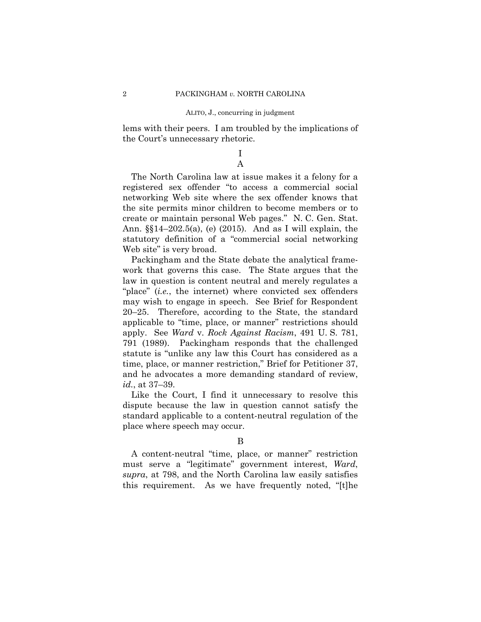lems with their peers. I am troubled by the implications of the Court's unnecessary rhetoric.

## I A

The North Carolina law at issue makes it a felony for a registered sex offender "to access a commercial social networking Web site where the sex offender knows that the site permits minor children to become members or to create or maintain personal Web pages." N. C. Gen. Stat. Ann. §§14–202.5(a), (e) (2015). And as I will explain, the statutory definition of a "commercial social networking Web site" is very broad.

Packingham and the State debate the analytical framework that governs this case. The State argues that the law in question is content neutral and merely regulates a "place" (*i.e.*, the internet) where convicted sex offenders may wish to engage in speech. See Brief for Respondent 20–25. Therefore, according to the State, the standard applicable to "time, place, or manner" restrictions should apply. See *Ward* v. *Rock Against Racism*, 491 U. S. 781, 791 (1989). Packingham responds that the challenged statute is "unlike any law this Court has considered as a time, place, or manner restriction," Brief for Petitioner 37, and he advocates a more demanding standard of review, *id.*, at 37–39.

Like the Court, I find it unnecessary to resolve this dispute because the law in question cannot satisfy the standard applicable to a content-neutral regulation of the place where speech may occur.

A content-neutral "time, place, or manner" restriction must serve a "legitimate" government interest, *Ward*, *supra*, at 798, and the North Carolina law easily satisfies this requirement. As we have frequently noted, "[t]he

B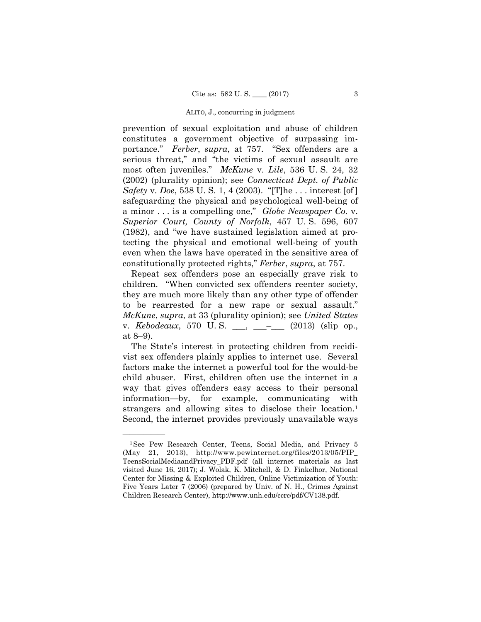prevention of sexual exploitation and abuse of children constitutes a government objective of surpassing importance." *Ferber*, *supra*, at 757. "Sex offenders are a serious threat," and "the victims of sexual assault are most often juveniles." *McKune* v. *Lile*, 536 U. S. 24, 32 (2002) (plurality opinion); see *Connecticut Dept. of Public Safety* v. *Doe*, 538 U. S. 1, 4 (2003). "[T]he . . . interest [of ] safeguarding the physical and psychological well-being of a minor . . . is a compelling one," *Globe Newspaper Co.* v. *Superior Court, County of Norfolk*, 457 U. S. 596, 607 (1982), and "we have sustained legislation aimed at protecting the physical and emotional well-being of youth even when the laws have operated in the sensitive area of constitutionally protected rights," *Ferber*, *supra*, at 757.

Repeat sex offenders pose an especially grave risk to children. "When convicted sex offenders reenter society, they are much more likely than any other type of offender to be rearrested for a new rape or sexual assault." *McKune*, *supra*, at 33 (plurality opinion); see *United States*  v. *Kebodeaux*, 570 U.S. \_\_, \_\_-\_\_ (2013) (slip op., at 8–9).

The State's interest in protecting children from recidivist sex offenders plainly applies to internet use. Several factors make the internet a powerful tool for the would-be child abuser. First, children often use the internet in a way that gives offenders easy access to their personal information—by, for example, communicating with strangers and allowing sites to disclose their location.<sup>1</sup> Second, the internet provides previously unavailable ways

 TeensSocialMediaandPrivacy\_PDF.pdf (all internet materials as last 1See Pew Research Center, Teens, Social Media, and Privacy 5 (May 21, 2013), http://www.pewinternet.org/files/2013/05/PIP\_ visited June 16, 2017); J. Wolak, K. Mitchell, & D. Finkelhor, National Center for Missing & Exploited Children, Online Victimization of Youth: Five Years Later 7 (2006) (prepared by Univ. of N. H., Crimes Against Children Research Center), http://www.unh.edu/ccrc/pdf/CV138.pdf.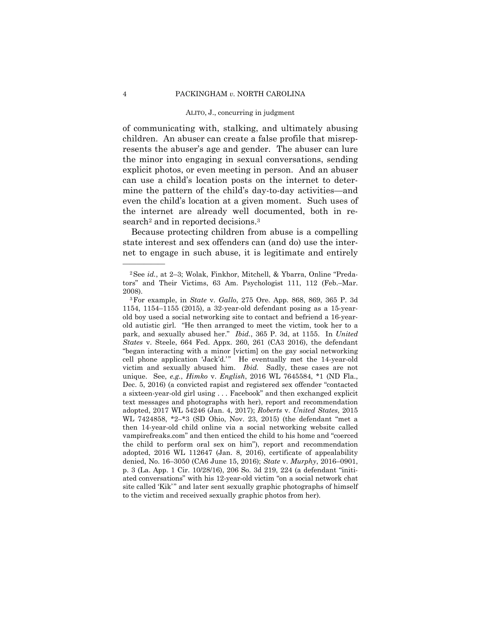of communicating with, stalking, and ultimately abusing children. An abuser can create a false profile that misrepresents the abuser's age and gender. The abuser can lure the minor into engaging in sexual conversations, sending explicit photos, or even meeting in person. And an abuser can use a child's location posts on the internet to determine the pattern of the child's day-to-day activities—and even the child's location at a given moment. Such uses of the internet are already well documented, both in research<sup>2</sup> and in reported decisions.<sup>3</sup>

Because protecting children from abuse is a compelling state interest and sex offenders can (and do) use the internet to engage in such abuse, it is legitimate and entirely

<sup>2</sup>See *id.*, at 2–3; Wolak, Finkhor, Mitchell, & Ybarra, Online "Predators" and Their Victims, 63 Am. Psychologist 111, 112 (Feb.–Mar.

 ated conversations" with his 12-year-old victim "on a social network chat 2008). 3For example, in *State* v. *Gallo*, 275 Ore. App. 868, 869, 365 P. 3d 1154, 1154–1155 (2015), a 32-year-old defendant posing as a 15-yearold boy used a social networking site to contact and befriend a 16-yearold autistic girl. "He then arranged to meet the victim, took her to a park, and sexually abused her." *Ibid.*, 365 P. 3d, at 1155. In *United States* v. Steele, 664 Fed. Appx. 260, 261 (CA3 2016), the defendant "began interacting with a minor [victim] on the gay social networking cell phone application 'Jack'd.'" He eventually met the 14-year-old victim and sexually abused him. *Ibid.* Sadly, these cases are not unique. See, *e.g.*, *Himko* v. *English*, 2016 WL 7645584, \*1 (ND Fla., Dec. 5, 2016) (a convicted rapist and registered sex offender "contacted a sixteen-year-old girl using . . . Facebook" and then exchanged explicit text messages and photographs with her), report and recommendation adopted, 2017 WL 54246 (Jan. 4, 2017); *Roberts* v. *United States*, 2015 WL 7424858, \*2–\*3 (SD Ohio, Nov. 23, 2015) (the defendant "met a then 14-year-old child online via a social networking website called vampirefreaks.com" and then enticed the child to his home and "coerced the child to perform oral sex on him"), report and recommendation adopted, 2016 WL 112647 (Jan. 8, 2016), certificate of appealability denied, No. 16–3050 (CA6 June 15, 2016); *State* v. *Murphy*, 2016–0901, p. 3 (La. App. 1 Cir. 10/28/16), 206 So. 3d 219, 224 (a defendant "initisite called 'Kik'" and later sent sexually graphic photographs of himself to the victim and received sexually graphic photos from her).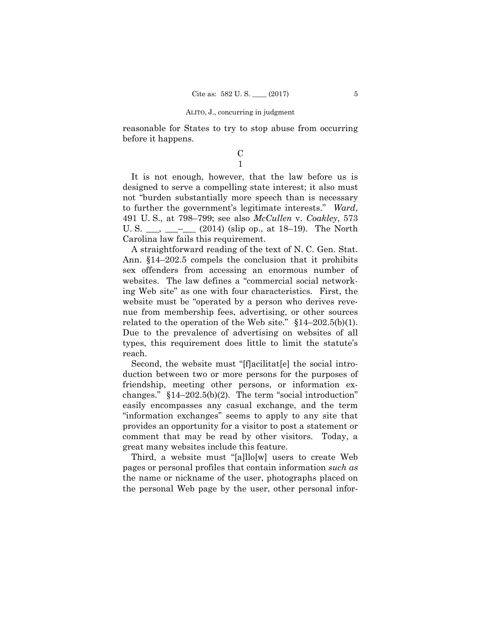reasonable for States to try to stop abuse from occurring before it happens.

> C 1

It is not enough, however, that the law before us is designed to serve a compelling state interest; it also must not "burden substantially more speech than is necessary to further the government's legitimate interests." *Ward*, 491 U. S., at 798–799; see also *McCullen* v. *Coakley*, 573 U. S.  $\_\_\_\_\_\_\_\_\_\_\_$  (2014) (slip op., at 18–19). The North Carolina law fails this requirement.

A straightforward reading of the text of N. C. Gen. Stat. Ann. §14–202.5 compels the conclusion that it prohibits sex offenders from accessing an enormous number of websites. The law defines a "commercial social networking Web site" as one with four characteristics. First, the website must be "operated by a person who derives revenue from membership fees, advertising, or other sources related to the operation of the Web site."  $$14-202.5(b)(1)$ . Due to the prevalence of advertising on websites of all types, this requirement does little to limit the statute's reach.

Second, the website must "[f]acilitat[e] the social introduction between two or more persons for the purposes of friendship, meeting other persons, or information exchanges." §14–202.5(b)(2). The term "social introduction" easily encompasses any casual exchange, and the term "information exchanges" seems to apply to any site that provides an opportunity for a visitor to post a statement or comment that may be read by other visitors. Today, a great many websites include this feature.

Third, a website must "[a]llo[w] users to create Web pages or personal profiles that contain information *such as*  the name or nickname of the user, photographs placed on the personal Web page by the user, other personal infor-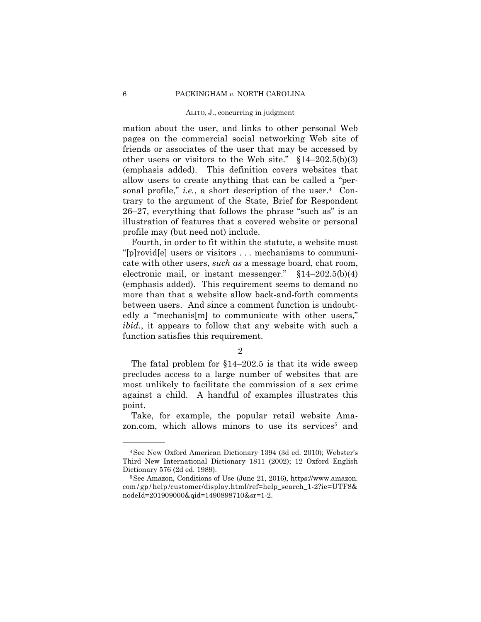mation about the user, and links to other personal Web pages on the commercial social networking Web site of friends or associates of the user that may be accessed by other users or visitors to the Web site."  $$14-202.5(b)(3)$ (emphasis added). This definition covers websites that allow users to create anything that can be called a "personal profile," *i.e.*, a short description of the user.4 Contrary to the argument of the State, Brief for Respondent 26–27, everything that follows the phrase "such as" is an illustration of features that a covered website or personal profile may (but need not) include.

Fourth, in order to fit within the statute, a website must "[p]rovid[e] users or visitors . . . mechanisms to communicate with other users, *such as* a message board, chat room, electronic mail, or instant messenger." §14–202.5(b)(4) (emphasis added). This requirement seems to demand no more than that a website allow back-and-forth comments between users. And since a comment function is undoubtedly a "mechanis[m] to communicate with other users," *ibid.*, it appears to follow that any website with such a function satisfies this requirement.

The fatal problem for §14–202.5 is that its wide sweep precludes access to a large number of websites that are most unlikely to facilitate the commission of a sex crime against a child. A handful of examples illustrates this point.

Take, for example, the popular retail website Amazon.com, which allows minors to use its services<sup>5</sup> and

<sup>2</sup> 

<sup>4</sup>See New Oxford American Dictionary 1394 (3d ed. 2010); Webster's Third New International Dictionary 1811 (2002); 12 Oxford English Dictionary 576 (2d ed. 1989). 5See Amazon, Conditions of Use (June 21, 2016), https://www.amazon.

 com / gp / help /customer/display.html/ref=help\_search\_1-2?ie=UTF8& nodeId=201909000&qid=1490898710&sr=1-2.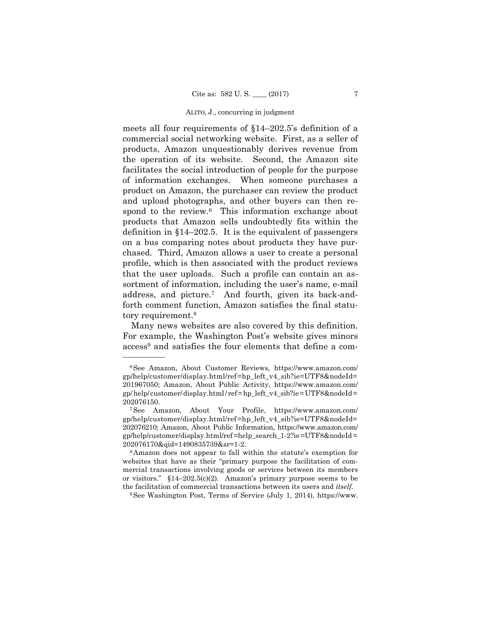meets all four requirements of §14–202.5's definition of a commercial social networking website. First, as a seller of products, Amazon unquestionably derives revenue from the operation of its website. Second, the Amazon site facilitates the social introduction of people for the purpose of information exchanges. When someone purchases a product on Amazon, the purchaser can review the product and upload photographs, and other buyers can then respond to the review.<sup>6</sup> This information exchange about products that Amazon sells undoubtedly fits within the definition in §14–202.5. It is the equivalent of passengers on a bus comparing notes about products they have purchased. Third, Amazon allows a user to create a personal profile, which is then associated with the product reviews that the user uploads. Such a profile can contain an assortment of information, including the user's name, e-mail address, and picture.7 And fourth, given its back-andforth comment function, Amazon satisfies the final statutory requirement.<sup>8</sup>

Many news websites are also covered by this definition. For example, the Washington Post's website gives minors access9 and satisfies the four elements that define a com-

——————

9See Washington Post, Terms of Service (July 1, 2014), https://www.

 gp/help/ customer/display.html/ ref=hp\_left\_v4\_sib?ie =UTF8&nodeId= 6See Amazon, About Customer Reviews, https://www.amazon.com/ gp/help/customer/display.html/ref =hp\_left\_v4\_sib?ie=UTF8&nodeId= 201967050; Amazon, About Public Activity, https://www.amazon.com/

 202076210; Amazon, About Public Information, https://www.amazon.com/ 202076150. 7See Amazon, About Your Profile, https://www.amazon.com/ gp/help/customer/display.html/ref =hp\_left\_v4\_sib?ie=UTF8&nodeId= gp/help/customer/display.html/ref =help\_search\_1-2?ie =UTF8&nodeId =

or visitors."  $$14-202.5(c)(2)$ . Amazon's primary purpose seems to be 202076170&qid=1490835739&sr=1-2. 8Amazon does not appear to fall within the statute's exemption for websites that have as their "primary purpose the facilitation of commercial transactions involving goods or services between its members the facilitation of commercial transactions between its users and *itself.*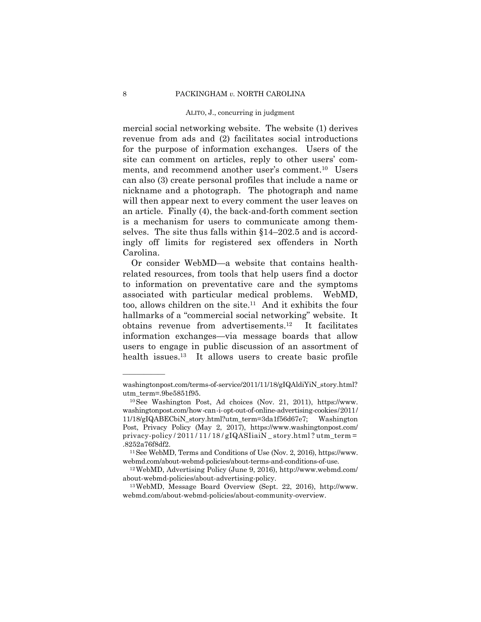mercial social networking website. The website (1) derives revenue from ads and (2) facilitates social introductions for the purpose of information exchanges. Users of the site can comment on articles, reply to other users' comments, and recommend another user's comment.10 Users can also (3) create personal profiles that include a name or nickname and a photograph. The photograph and name will then appear next to every comment the user leaves on an article. Finally (4), the back-and-forth comment section is a mechanism for users to communicate among themselves. The site thus falls within §14–202.5 and is accordingly off limits for registered sex offenders in North Carolina.

Or consider WebMD—a website that contains healthrelated resources, from tools that help users find a doctor to information on preventative care and the symptoms associated with particular medical problems. WebMD, too, allows children on the site.11 And it exhibits the four hallmarks of a "commercial social networking" website. It obtains revenue from advertisements.12 It facilitates information exchanges—via message boards that allow users to engage in public discussion of an assortment of health issues.<sup>13</sup> It allows users to create basic profile

washingtonpost.com/terms-of-service/2011/11/18/gIQAldiYiN\_story.html?

 washingtonpost.com/how-can-i-opt-out-of-online-advertising-cookies/2011/ privacy-policy / 2011 / 11 / 18 / gIQASIiaiN \_ story.html ? utm\_term = utm\_term=.9be5851f95.<br><sup>10</sup>See Washington Post, Ad choices (Nov. 21, 2011), https://www. 11/18/gIQABECbiN\_story.html?utm\_term=3da1f56d67e7; Washington Post, Privacy Policy (May 2, 2017), https://www.washingtonpost.com/ .8252a76f8df2. 11See WebMD, Terms and Conditions of Use (Nov. 2, 2016), https://www.

webmd.com/about-webmd-policies/about-terms-and-conditions-of-use. 12WebMD, Advertising Policy (June 9, 2016), http://www.webmd.com/

about-webmd-policies/about-advertising-policy. 13WebMD, Message Board Overview (Sept. 22, 2016), http://www.

webmd.com/about-webmd-policies/about-community-overview.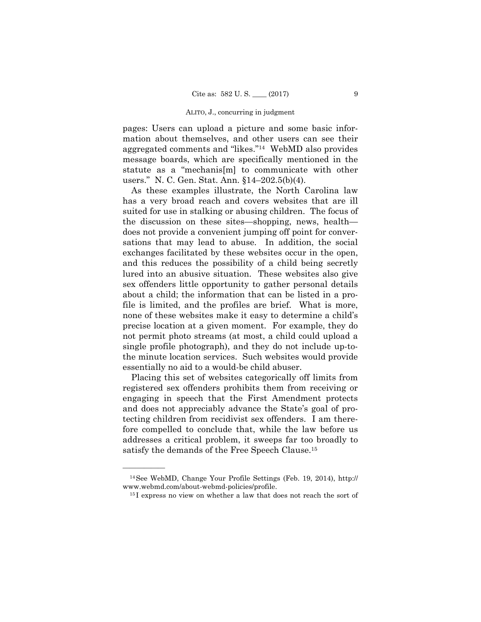pages: Users can upload a picture and some basic information about themselves, and other users can see their aggregated comments and "likes."14 WebMD also provides message boards, which are specifically mentioned in the statute as a "mechanis[m] to communicate with other users." N. C. Gen. Stat. Ann. §14–202.5(b)(4).

As these examples illustrate, the North Carolina law has a very broad reach and covers websites that are ill suited for use in stalking or abusing children. The focus of the discussion on these sites—shopping, news, health does not provide a convenient jumping off point for conversations that may lead to abuse. In addition, the social exchanges facilitated by these websites occur in the open, and this reduces the possibility of a child being secretly lured into an abusive situation. These websites also give sex offenders little opportunity to gather personal details about a child; the information that can be listed in a profile is limited, and the profiles are brief. What is more, none of these websites make it easy to determine a child's precise location at a given moment. For example, they do not permit photo streams (at most, a child could upload a single profile photograph), and they do not include up-tothe minute location services. Such websites would provide essentially no aid to a would-be child abuser.

Placing this set of websites categorically off limits from registered sex offenders prohibits them from receiving or engaging in speech that the First Amendment protects and does not appreciably advance the State's goal of protecting children from recidivist sex offenders. I am therefore compelled to conclude that, while the law before us addresses a critical problem, it sweeps far too broadly to satisfy the demands of the Free Speech Clause.15

<sup>14</sup>See WebMD, Change Your Profile Settings (Feb. 19, 2014), http:// www.webmd.com/about-webmd-policies/profile. 15 I express no view on whether a law that does not reach the sort of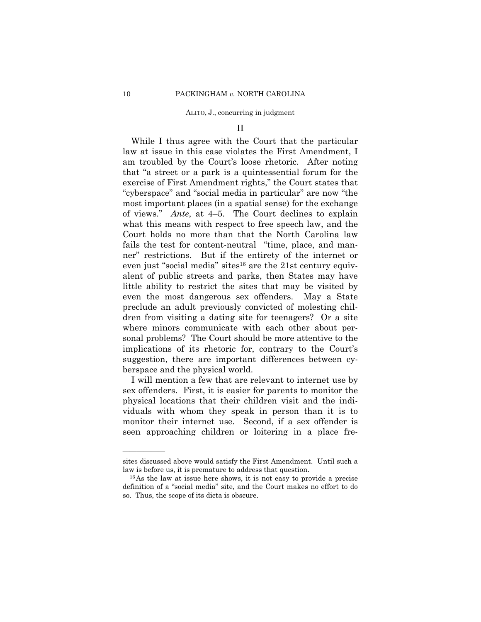### II

 of views." *Ante*, at 4–5. The Court declines to explain While I thus agree with the Court that the particular law at issue in this case violates the First Amendment, I am troubled by the Court's loose rhetoric. After noting that "a street or a park is a quintessential forum for the exercise of First Amendment rights," the Court states that "cyberspace" and "social media in particular" are now "the most important places (in a spatial sense) for the exchange what this means with respect to free speech law, and the Court holds no more than that the North Carolina law fails the test for content-neutral "time, place, and manner" restrictions. But if the entirety of the internet or even just "social media" sites $16$  are the 21st century equivalent of public streets and parks, then States may have little ability to restrict the sites that may be visited by even the most dangerous sex offenders. May a State preclude an adult previously convicted of molesting children from visiting a dating site for teenagers? Or a site where minors communicate with each other about personal problems? The Court should be more attentive to the implications of its rhetoric for, contrary to the Court's suggestion, there are important differences between cyberspace and the physical world.

I will mention a few that are relevant to internet use by sex offenders. First, it is easier for parents to monitor the physical locations that their children visit and the individuals with whom they speak in person than it is to monitor their internet use. Second, if a sex offender is seen approaching children or loitering in a place fre-

sites discussed above would satisfy the First Amendment. Until such a law is before us, it is premature to address that question. 16As the law at issue here shows, it is not easy to provide a precise

definition of a "social media" site, and the Court makes no effort to do so. Thus, the scope of its dicta is obscure.